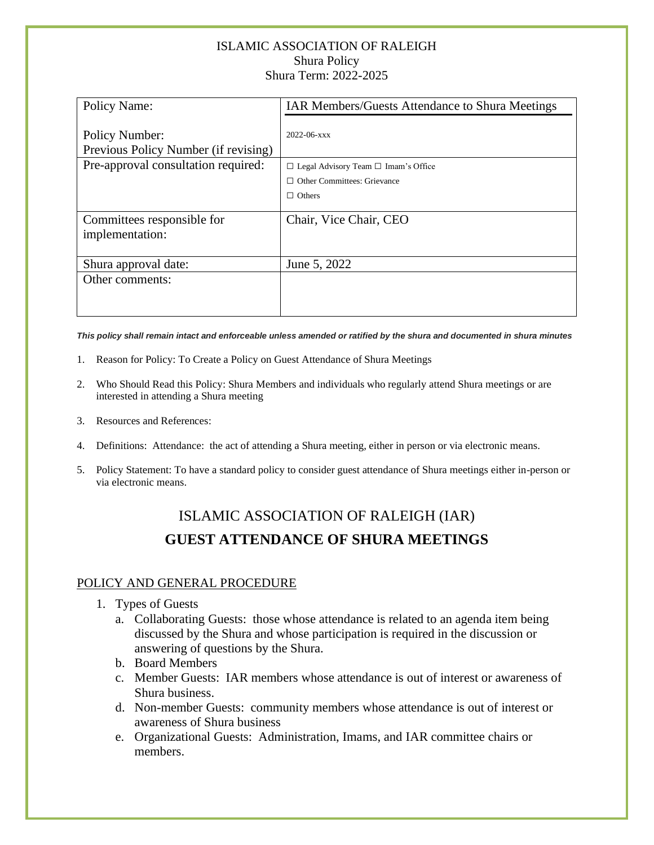## ISLAMIC ASSOCIATION OF RALEIGH Shura Policy Shura Term: 2022-2025

| Policy Name:                                           | IAR Members/Guests Attendance to Shura Meetings |
|--------------------------------------------------------|-------------------------------------------------|
| Policy Number:<br>Previous Policy Number (if revising) | $2022 - 06 - xxx$                               |
| Pre-approval consultation required:                    | $\Box$ Legal Advisory Team $\Box$ Imam's Office |
|                                                        | $\Box$ Other Committees: Grievance              |
|                                                        | $\Box$ Others                                   |
| Committees responsible for<br>implementation:          | Chair, Vice Chair, CEO                          |
| Shura approval date:                                   | June 5, 2022                                    |
| Other comments:                                        |                                                 |

*This policy shall remain intact and enforceable unless amended or ratified by the shura and documented in shura minutes*

- 1. Reason for Policy: To Create a Policy on Guest Attendance of Shura Meetings
- 2. Who Should Read this Policy: Shura Members and individuals who regularly attend Shura meetings or are interested in attending a Shura meeting
- 3. Resources and References:
- 4. Definitions: Attendance: the act of attending a Shura meeting, either in person or via electronic means.
- 5. Policy Statement: To have a standard policy to consider guest attendance of Shura meetings either in-person or via electronic means.

## ISLAMIC ASSOCIATION OF RALEIGH (IAR) **GUEST ATTENDANCE OF SHURA MEETINGS**

## POLICY AND GENERAL PROCEDURE

- 1. Types of Guests
	- a. Collaborating Guests: those whose attendance is related to an agenda item being discussed by the Shura and whose participation is required in the discussion or answering of questions by the Shura.
	- b. Board Members
	- c. Member Guests: IAR members whose attendance is out of interest or awareness of Shura business.
	- d. Non-member Guests: community members whose attendance is out of interest or awareness of Shura business
	- e. Organizational Guests: Administration, Imams, and IAR committee chairs or members.